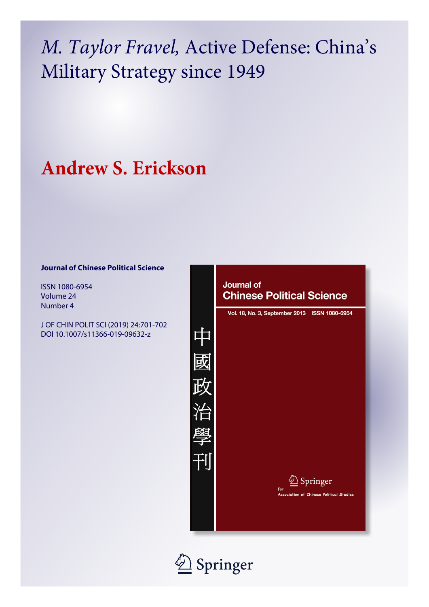# *M. Taylor Fravel,* Active Defense: China's Military Strategy since 1949

## **Andrew S. Erickson**

### **Journal of Chinese Political Science**

ISSN 1080-6954 Volume 24 Number 4

J OF CHIN POLIT SCI (2019) 24:701-702 DOI 10.1007/s11366-019-09632-z



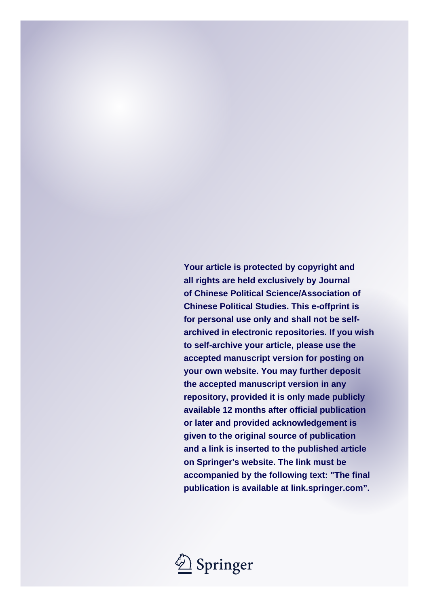**Your article is protected by copyright and all rights are held exclusively by Journal of Chinese Political Science/Association of Chinese Political Studies. This e-offprint is for personal use only and shall not be selfarchived in electronic repositories. If you wish to self-archive your article, please use the accepted manuscript version for posting on your own website. You may further deposit the accepted manuscript version in any repository, provided it is only made publicly available 12 months after official publication or later and provided acknowledgement is given to the original source of publication and a link is inserted to the published article on Springer's website. The link must be accompanied by the following text: "The final publication is available at link.springer.com".**

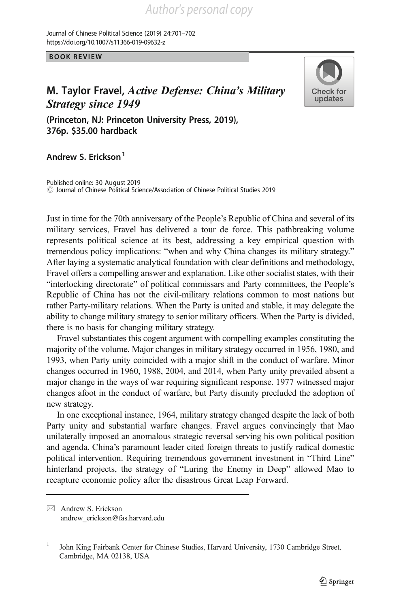https://doi.org/10.1007/s11366-019-09632-z Journal of Chinese Political Science (2019) 24:701–702

BOOK REVIEW

### M. Taylor Fravel, Active Defense: China's Military<br>Strategy since 1949



Strategy since 1949 (Princeton, NJ: Princeton University Press, 2019), 376p. \$35.00 hardback

#### Andrew S. Frickson<sup>1</sup>

 $\degree$  Journal of Chinese Political Science/Association of Chinese Political Studies 2019 Published online: 30 August 2019

Just in time for the 70th anniversary of the People's Republic of China and several of its military services, Fravel has delivered a tour de force. This pathbreaking volume represents political science at its best, addressing a key empirical question with tremendous policy implications: "when and why China changes its military strategy." After laying a systematic analytical foundation with clear definitions and methodology, Fravel offers a compelling answer and explanation. Like other socialist states, with their "interlocking directorate" of political commissars and Party committees, the People's Republic of China has not the civil-military relations common to most nations but rather Party-military relations. When the Party is united and stable, it may delegate the ability to change military strategy to senior military officers. When the Party is divided, there is no basis for changing military strategy.

Fravel substantiates this cogent argument with compelling examples constituting the majority of the volume. Major changes in military strategy occurred in 1956, 1980, and 1993, when Party unity coincided with a major shift in the conduct of warfare. Minor changes occurred in 1960, 1988, 2004, and 2014, when Party unity prevailed absent a major change in the ways of war requiring significant response. 1977 witnessed major changes afoot in the conduct of warfare, but Party disunity precluded the adoption of new strategy.

In one exceptional instance, 1964, military strategy changed despite the lack of both Party unity and substantial warfare changes. Fravel argues convincingly that Mao unilaterally imposed an anomalous strategic reversal serving his own political position and agenda. China's paramount leader cited foreign threats to justify radical domestic political intervention. Requiring tremendous government investment in "Third Line" hinterland projects, the strategy of "Luring the Enemy in Deep" allowed Mao to recapture economic policy after the disastrous Great Leap Forward.

 $\boxtimes$  Andrew S. Erickson [andrew\\_erickson@fas.harvard.edu](mailto:andrew_erickson@fas.harvard.edu)

<sup>1</sup> John King Fairbank Center for Chinese Studies, Harvard University, 1730 Cambridge Street, Cambridge, MA 02138, USA